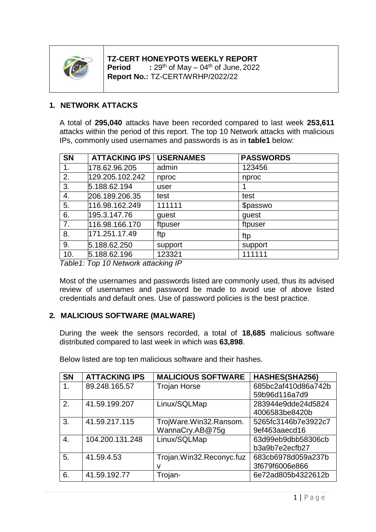

# **TZ-CERT HONEYPOTS WEEKLY REPORT**

**Period** <sup>th</sup> of May – 04<sup>th</sup> of June, 2022 **Report No.:** TZ-CERT/WRHP/2022/22

## **1. NETWORK ATTACKS**

A total of **295,040** attacks have been recorded compared to last week **253,611** attacks within the period of this report. The top 10 Network attacks with malicious IPs, commonly used usernames and passwords is as in **table1** below:

| <b>SN</b> | <b>ATTACKING IPS</b> | <b>USERNAMES</b> | <b>PASSWORDS</b> |
|-----------|----------------------|------------------|------------------|
| 1.        | 178.62.96.205        | admin            | 123456           |
| 2.        | 129.205.102.242      | nproc            | nproc            |
| 3.        | 5.188.62.194         | user             |                  |
| 4.        | 206.189.206.35       | test             | test             |
| 5.        | 116.98.162.249       | 111111           | \$passwo         |
| 6.        | 195.3.147.76         | guest            | guest            |
| 7.        | 116.98.166.170       | ftpuser          | ftpuser          |
| 8.        | 171.251.17.49        | ftp              | ftp              |
| 9.        | 5.188.62.250         | support          | support          |
| 10.       | 5.188.62.196         | 123321           | 111111           |

*Table1: Top 10 Network attacking IP*

Most of the usernames and passwords listed are commonly used, thus its advised review of usernames and password be made to avoid use of above listed credentials and default ones. Use of password policies is the best practice.

## **2. MALICIOUS SOFTWARE (MALWARE)**

During the week the sensors recorded, a total of **18,685** malicious software distributed compared to last week in which was **63,898**.

| <b>SN</b> | <b>ATTACKING IPS</b> | <b>MALICIOUS SOFTWARE</b> | HASHES(SHA256)      |
|-----------|----------------------|---------------------------|---------------------|
|           | 89.248.165.57        | <b>Trojan Horse</b>       | 685bc2af410d86a742b |
|           |                      |                           | 59b96d116a7d9       |
| 2.        | 41.59.199.207        | Linux/SQLMap              | 283944e9dde24d5824  |
|           |                      |                           | 4006583be8420b      |
| 3.        | 41.59.217.115        | TrojWare.Win32.Ransom.    | 5265fc3146b7e3922c7 |
|           |                      | WannaCry.AB@75g           | 9ef463aaecd16       |
| 4.        | 104.200.131.248      | Linux/SQLMap              | 63d99eb9dbb58306cb  |
|           |                      |                           | b3a9b7e2ecfb27      |
| 5.        | 41.59.4.53           | Trojan.Win32.Reconyc.fuz  | 683cb6978d059a237b  |
|           |                      |                           | 3f679f6006e866      |
| 6.        | 41.59.192.77         | Trojan-                   | 6e72ad805b4322612b  |

Below listed are top ten malicious software and their hashes.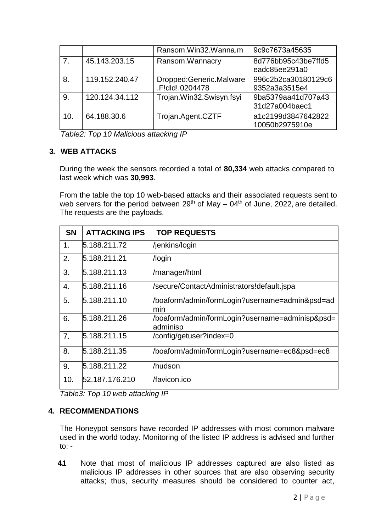|     |                | Ransom.Win32.Wanna.m                       | 9c9c7673a45635                       |
|-----|----------------|--------------------------------------------|--------------------------------------|
| 7.  | 45.143.203.15  | Ransom.Wannacry                            | 8d776bb95c43be7ffd5<br>eadc85ee291a0 |
| 8.  | 119.152.240.47 | Dropped:Generic.Malware<br>.F!dld!.0204478 | 996c2b2ca30180129c6<br>9352a3a3515e4 |
| 9.  | 120.124.34.112 | Trojan.Win32.Swisyn.fsyi                   | 9ba5379aa41d707a43<br>31d27a004baec1 |
| 10. | 64.188.30.6    | Trojan.Agent.CZTF                          | a1c2199d3847642822<br>10050b2975910e |

*Table2: Top 10 Malicious attacking IP*

### **3. WEB ATTACKS**

During the week the sensors recorded a total of **80,334** web attacks compared to last week which was **30,993**.

From the table the top 10 web-based attacks and their associated requests sent to web servers for the period between  $29<sup>th</sup>$  of May – 04<sup>th</sup> of June, 2022, are detailed. The requests are the payloads.

| <b>SN</b> | <b>ATTACKING IPS</b> | <b>TOP REQUESTS</b>                                          |
|-----------|----------------------|--------------------------------------------------------------|
| 1.        | 5.188.211.72         | /jenkins/login                                               |
| 2.        | 5.188.211.21         | /login                                                       |
| 3.        | 5.188.211.13         | /manager/html                                                |
| 4.        | 5.188.211.16         | /secure/ContactAdministrators!default.jspa                   |
| 5.        | 5.188.211.10         | /boaform/admin/formLogin?username=admin&psd=ad<br>min        |
| 6.        | 5.188.211.26         | /boaform/admin/formLogin?username=adminisp&psd=<br>ladminisp |
| 7.        | 5.188.211.15         | /config/getuser?index=0                                      |
| 8.        | 5.188.211.35         | /boaform/admin/formLogin?username=ec8&psd=ec8                |
| 9.        | 5.188.211.22         | /hudson                                                      |
| 10.       | 52.187.176.210       | /favicon.ico                                                 |

*Table3: Top 10 web attacking IP*

## **4. RECOMMENDATIONS**

The Honeypot sensors have recorded IP addresses with most common malware used in the world today. Monitoring of the listed IP address is advised and further to: -

**4.1** Note that most of malicious IP addresses captured are also listed as malicious IP addresses in other sources that are also observing security attacks; thus, security measures should be considered to counter act,